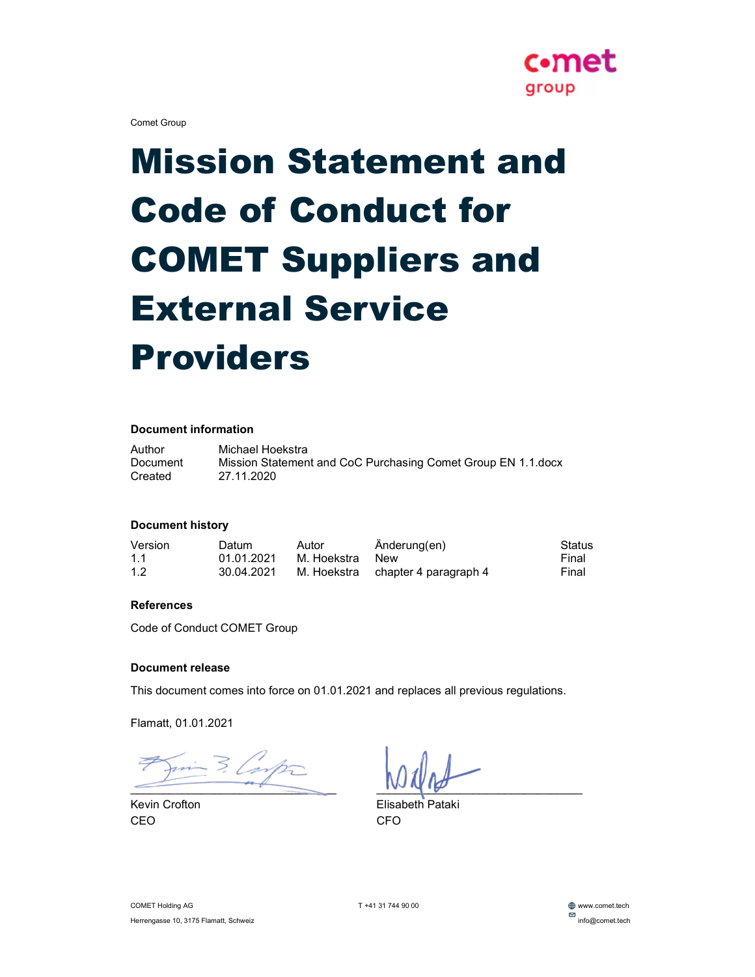

Comet Group

# Mission Statement and Code of Conduct for COMET Suppliers and External Service Providers

#### Document information

Author Michael Hoekstra Document Mission Statement and CoC Purchasing Comet Group EN 1.1.docx Created 27.11.2020

#### Document history

| Version | Datum      | Autor       | Änderung(en)                      | Status |
|---------|------------|-------------|-----------------------------------|--------|
| 1.1     | 01.01.2021 | M. Hoekstra | New                               | Final  |
| 1.2     | 30.04.2021 |             | M. Hoekstra chapter 4 paragraph 4 | Final  |

#### **References**

Code of Conduct COMET Group

#### Document release

This document comes into force on 01.01.2021 and replaces all previous regulations.

Flamatt, 01.01.2021

 $=$  3. Lomp $=$ 

CEO CFO

 $\blacksquare$ 

Kevin Crofton **Elisabeth Pataki** 

T +41 31 744 90 00 www.comet.tech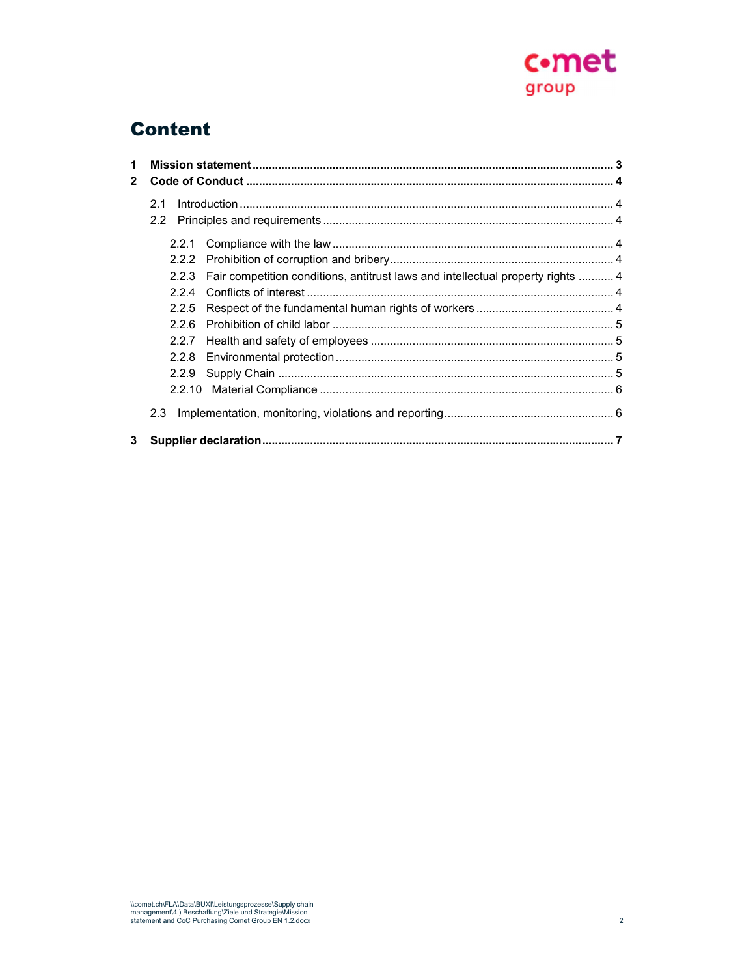

# Content

| 1            |       |                                                                                       |  |
|--------------|-------|---------------------------------------------------------------------------------------|--|
| $\mathbf{2}$ |       |                                                                                       |  |
|              | 2.1   |                                                                                       |  |
|              |       |                                                                                       |  |
|              |       |                                                                                       |  |
|              |       | 2.2.3 Fair competition conditions, antitrust laws and intellectual property rights  4 |  |
|              | 224   |                                                                                       |  |
|              | 2.2.5 |                                                                                       |  |
|              | 226   |                                                                                       |  |
|              |       |                                                                                       |  |
|              |       |                                                                                       |  |
|              | 2.2.9 |                                                                                       |  |
|              |       |                                                                                       |  |
|              | 2.3   |                                                                                       |  |
| 3            |       |                                                                                       |  |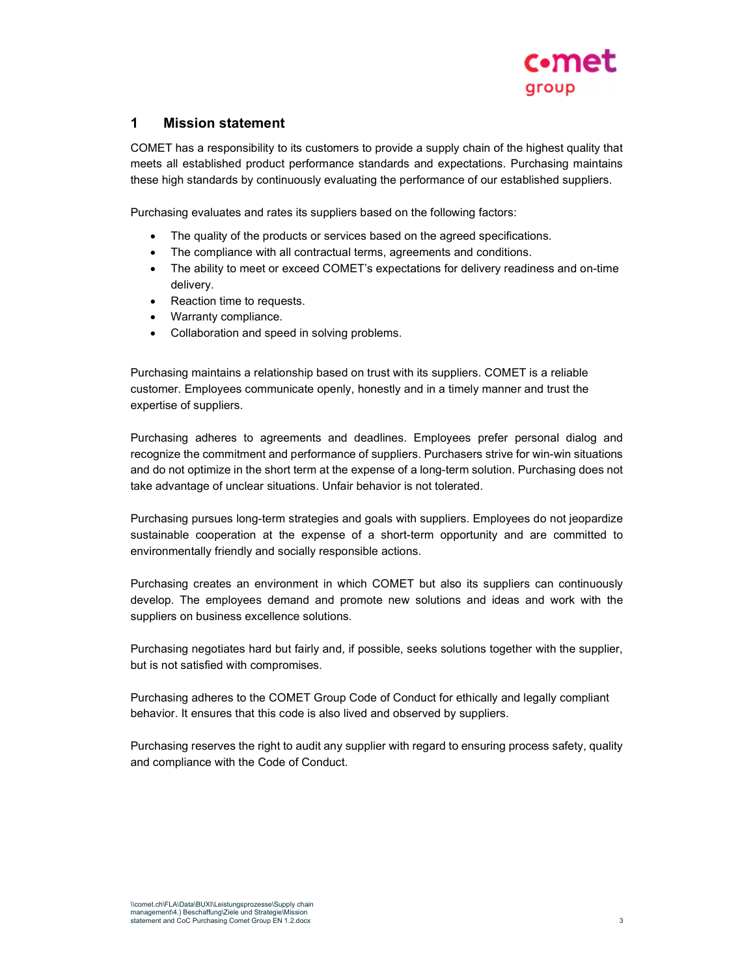

### 1 Mission statement

COMET has a responsibility to its customers to provide a supply chain of the highest quality that meets all established product performance standards and expectations. Purchasing maintains these high standards by continuously evaluating the performance of our established suppliers.

Purchasing evaluates and rates its suppliers based on the following factors:

- The quality of the products or services based on the agreed specifications.
- The compliance with all contractual terms, agreements and conditions.
- The ability to meet or exceed COMET's expectations for delivery readiness and on-time delivery.
- Reaction time to requests.
- Warranty compliance.
- Collaboration and speed in solving problems.

Purchasing maintains a relationship based on trust with its suppliers. COMET is a reliable customer. Employees communicate openly, honestly and in a timely manner and trust the expertise of suppliers.

Purchasing adheres to agreements and deadlines. Employees prefer personal dialog and recognize the commitment and performance of suppliers. Purchasers strive for win-win situations and do not optimize in the short term at the expense of a long-term solution. Purchasing does not take advantage of unclear situations. Unfair behavior is not tolerated.

Purchasing pursues long-term strategies and goals with suppliers. Employees do not jeopardize sustainable cooperation at the expense of a short-term opportunity and are committed to environmentally friendly and socially responsible actions.

Purchasing creates an environment in which COMET but also its suppliers can continuously develop. The employees demand and promote new solutions and ideas and work with the suppliers on business excellence solutions.

Purchasing negotiates hard but fairly and, if possible, seeks solutions together with the supplier, but is not satisfied with compromises.

Purchasing adheres to the COMET Group Code of Conduct for ethically and legally compliant behavior. It ensures that this code is also lived and observed by suppliers.

Purchasing reserves the right to audit any supplier with regard to ensuring process safety, quality and compliance with the Code of Conduct.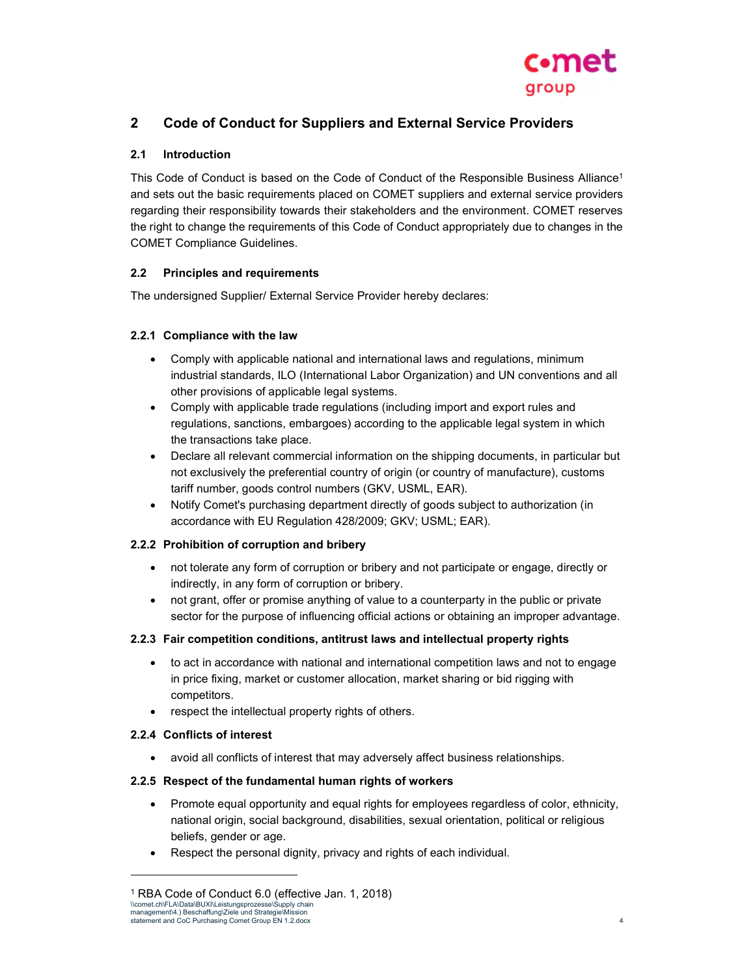

## 2 Code of Conduct for Suppliers and External Service Providers

#### 2.1 Introduction

This Code of Conduct is based on the Code of Conduct of the Responsible Business Alliance<sup>1</sup> and sets out the basic requirements placed on COMET suppliers and external service providers regarding their responsibility towards their stakeholders and the environment. COMET reserves the right to change the requirements of this Code of Conduct appropriately due to changes in the COMET Compliance Guidelines.

#### 2.2 Principles and requirements

The undersigned Supplier/ External Service Provider hereby declares:

#### 2.2.1 Compliance with the law

- Comply with applicable national and international laws and regulations, minimum industrial standards, ILO (International Labor Organization) and UN conventions and all other provisions of applicable legal systems.
- Comply with applicable trade regulations (including import and export rules and regulations, sanctions, embargoes) according to the applicable legal system in which the transactions take place.
- Declare all relevant commercial information on the shipping documents, in particular but not exclusively the preferential country of origin (or country of manufacture), customs tariff number, goods control numbers (GKV, USML, EAR).
- Notify Comet's purchasing department directly of goods subject to authorization (in accordance with EU Regulation 428/2009; GKV; USML; EAR).

#### 2.2.2 Prohibition of corruption and bribery

- not tolerate any form of corruption or bribery and not participate or engage, directly or indirectly, in any form of corruption or bribery.
- not grant, offer or promise anything of value to a counterparty in the public or private sector for the purpose of influencing official actions or obtaining an improper advantage.

#### 2.2.3 Fair competition conditions, antitrust laws and intellectual property rights

- to act in accordance with national and international competition laws and not to engage in price fixing, market or customer allocation, market sharing or bid rigging with competitors.
- respect the intellectual property rights of others.

#### 2.2.4 Conflicts of interest

avoid all conflicts of interest that may adversely affect business relationships.

#### 2.2.5 Respect of the fundamental human rights of workers

- Promote equal opportunity and equal rights for employees regardless of color, ethnicity, national origin, social background, disabilities, sexual orientation, political or religious beliefs, gender or age.
- Respect the personal dignity, privacy and rights of each individual.

<sup>\\</sup>comet.ch\FLA\Data\BUXI\Leistungsprozesse\Supply chain management\4.) Beschaffung\Ziele und Strategie\Mission statement and CoC Purchasing Comet Group EN 1.2.docx 4 1 RBA Code of Conduct 6.0 (effective Jan. 1, 2018)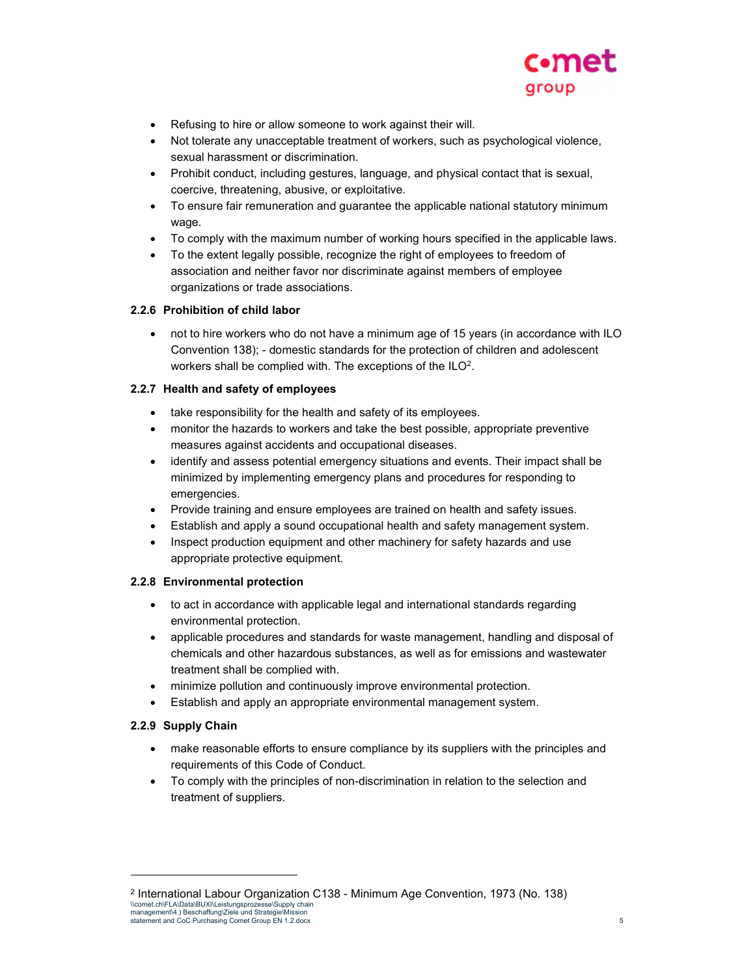

- Refusing to hire or allow someone to work against their will.
- Not tolerate any unacceptable treatment of workers, such as psychological violence, sexual harassment or discrimination.
- Prohibit conduct, including gestures, language, and physical contact that is sexual, coercive, threatening, abusive, or exploitative.
- To ensure fair remuneration and guarantee the applicable national statutory minimum wage.
- To comply with the maximum number of working hours specified in the applicable laws.
- To the extent legally possible, recognize the right of employees to freedom of association and neither favor nor discriminate against members of employee organizations or trade associations.

#### 2.2.6 Prohibition of child labor

 not to hire workers who do not have a minimum age of 15 years (in accordance with ILO Convention 138); - domestic standards for the protection of children and adolescent workers shall be complied with. The exceptions of the ILO<sup>2</sup>.

#### 2.2.7 Health and safety of employees

- take responsibility for the health and safety of its employees.
- monitor the hazards to workers and take the best possible, appropriate preventive measures against accidents and occupational diseases.
- identify and assess potential emergency situations and events. Their impact shall be minimized by implementing emergency plans and procedures for responding to emergencies.
- Provide training and ensure employees are trained on health and safety issues.
- Establish and apply a sound occupational health and safety management system.
- Inspect production equipment and other machinery for safety hazards and use appropriate protective equipment.

#### 2.2.8 Environmental protection

- to act in accordance with applicable legal and international standards regarding environmental protection.
- applicable procedures and standards for waste management, handling and disposal of chemicals and other hazardous substances, as well as for emissions and wastewater treatment shall be complied with.
- minimize pollution and continuously improve environmental protection.
- Establish and apply an appropriate environmental management system.

#### 2.2.9 Supply Chain

- make reasonable efforts to ensure compliance by its suppliers with the principles and requirements of this Code of Conduct.
- To comply with the principles of non-discrimination in relation to the selection and treatment of suppliers.

<sup>\\</sup>comet.ch\FLA\Data\BUXI\Leistungsprozesse\Supply chain management\4.) Beschaffung\Ziele und Strategie\Mission statement and CoC Purchasing Comet Group EN 1.2.docx 5 2 International Labour Organization C138 - Minimum Age Convention, 1973 (No. 138)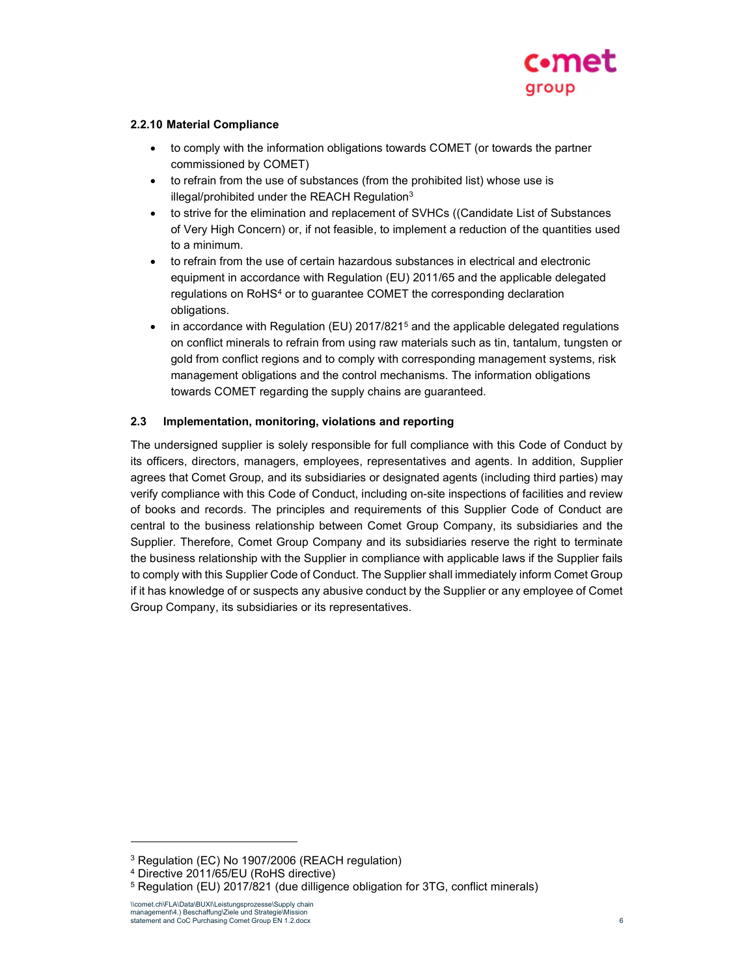

#### 2.2.10 Material Compliance

- to comply with the information obligations towards COMET (or towards the partner commissioned by COMET)
- to refrain from the use of substances (from the prohibited list) whose use is illegal/prohibited under the REACH Regulation<sup>3</sup>
- to strive for the elimination and replacement of SVHCs ((Candidate List of Substances of Very High Concern) or, if not feasible, to implement a reduction of the quantities used to a minimum.
- to refrain from the use of certain hazardous substances in electrical and electronic equipment in accordance with Regulation (EU) 2011/65 and the applicable delegated regulations on RoHS<sup>4</sup> or to guarantee COMET the corresponding declaration obligations.
- $\bullet$  in accordance with Regulation (EU) 2017/821<sup>5</sup> and the applicable delegated regulations on conflict minerals to refrain from using raw materials such as tin, tantalum, tungsten or gold from conflict regions and to comply with corresponding management systems, risk management obligations and the control mechanisms. The information obligations towards COMET regarding the supply chains are guaranteed.

#### 2.3 Implementation, monitoring, violations and reporting

The undersigned supplier is solely responsible for full compliance with this Code of Conduct by its officers, directors, managers, employees, representatives and agents. In addition, Supplier agrees that Comet Group, and its subsidiaries or designated agents (including third parties) may verify compliance with this Code of Conduct, including on-site inspections of facilities and review of books and records. The principles and requirements of this Supplier Code of Conduct are central to the business relationship between Comet Group Company, its subsidiaries and the Supplier. Therefore, Comet Group Company and its subsidiaries reserve the right to terminate the business relationship with the Supplier in compliance with applicable laws if the Supplier fails to comply with this Supplier Code of Conduct. The Supplier shall immediately inform Comet Group if it has knowledge of or suspects any abusive conduct by the Supplier or any employee of Comet Group Company, its subsidiaries or its representatives.

<sup>3</sup> Regulation (EC) No 1907/2006 (REACH regulation)

<sup>4</sup> Directive 2011/65/EU (RoHS directive)

<sup>5</sup> Regulation (EU) 2017/821 (due dilligence obligation for 3TG, conflict minerals)